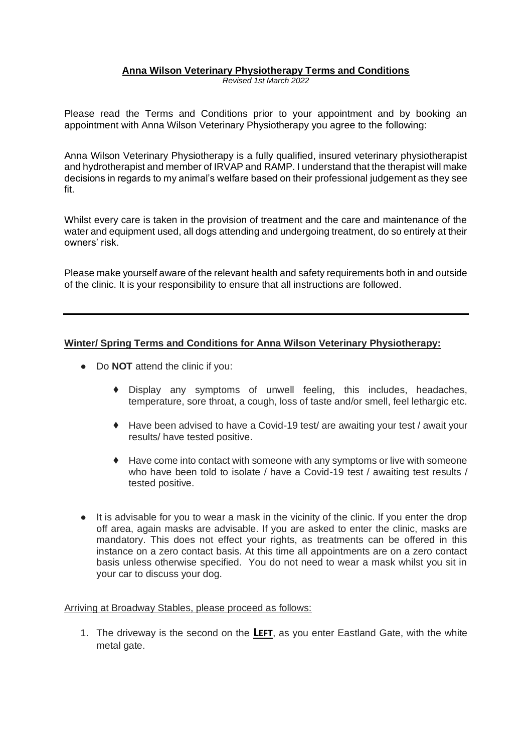## **Anna Wilson Veterinary Physiotherapy Terms and Conditions**

*Revised 1st March 2022*

Please read the Terms and Conditions prior to your appointment and by booking an appointment with Anna Wilson Veterinary Physiotherapy you agree to the following:

Anna Wilson Veterinary Physiotherapy is a fully qualified, insured veterinary physiotherapist and hydrotherapist and member of IRVAP and RAMP. I understand that the therapist will make decisions in regards to my animal's welfare based on their professional judgement as they see fit.

Whilst every care is taken in the provision of treatment and the care and maintenance of the water and equipment used, all dogs attending and undergoing treatment, do so entirely at their owners' risk.

Please make yourself aware of the relevant health and safety requirements both in and outside of the clinic. It is your responsibility to ensure that all instructions are followed.

## **Winter/ Spring Terms and Conditions for Anna Wilson Veterinary Physiotherapy:**

- Do **NOT** attend the clinic if you:
	- ♦ Display any symptoms of unwell feeling, this includes, headaches, temperature, sore throat, a cough, loss of taste and/or smell, feel lethargic etc.
	- ♦ Have been advised to have a Covid-19 test/ are awaiting your test / await your results/ have tested positive.
	- ♦ Have come into contact with someone with any symptoms or live with someone who have been told to isolate / have a Covid-19 test / awaiting test results / tested positive.
- It is advisable for you to wear a mask in the vicinity of the clinic. If you enter the drop off area, again masks are advisable. If you are asked to enter the clinic, masks are mandatory. This does not effect your rights, as treatments can be offered in this instance on a zero contact basis. At this time all appointments are on a zero contact basis unless otherwise specified. You do not need to wear a mask whilst you sit in your car to discuss your dog.

## Arriving at Broadway Stables, please proceed as follows:

1. The driveway is the second on the **LEFT**, as you enter Eastland Gate, with the white metal gate.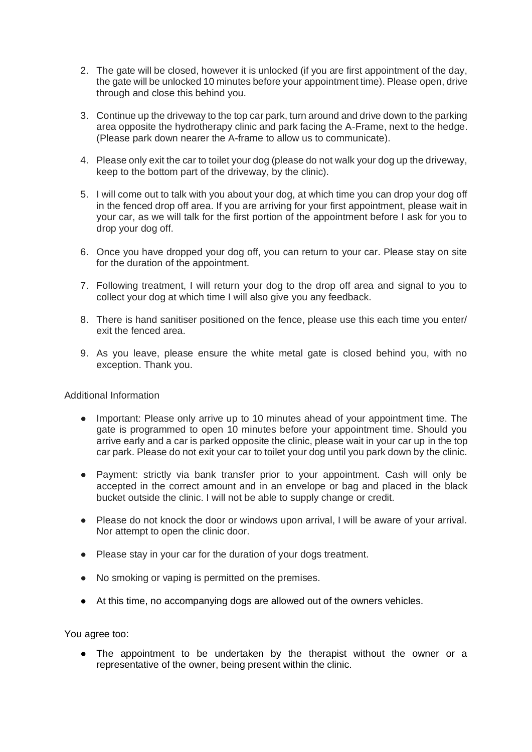- 2. The gate will be closed, however it is unlocked (if you are first appointment of the day, the gate will be unlocked 10 minutes before your appointment time). Please open, drive through and close this behind you.
- 3. Continue up the driveway to the top car park, turn around and drive down to the parking area opposite the hydrotherapy clinic and park facing the A-Frame, next to the hedge. (Please park down nearer the A-frame to allow us to communicate).
- 4. Please only exit the car to toilet your dog (please do not walk your dog up the driveway, keep to the bottom part of the driveway, by the clinic).
- 5. I will come out to talk with you about your dog, at which time you can drop your dog off in the fenced drop off area. If you are arriving for your first appointment, please wait in your car, as we will talk for the first portion of the appointment before I ask for you to drop your dog off.
- 6. Once you have dropped your dog off, you can return to your car. Please stay on site for the duration of the appointment.
- 7. Following treatment, I will return your dog to the drop off area and signal to you to collect your dog at which time I will also give you any feedback.
- 8. There is hand sanitiser positioned on the fence, please use this each time you enter/ exit the fenced area.
- 9. As you leave, please ensure the white metal gate is closed behind you, with no exception. Thank you.

## Additional Information

- Important: Please only arrive up to 10 minutes ahead of your appointment time. The gate is programmed to open 10 minutes before your appointment time. Should you arrive early and a car is parked opposite the clinic, please wait in your car up in the top car park. Please do not exit your car to toilet your dog until you park down by the clinic.
- Payment: strictly via bank transfer prior to your appointment. Cash will only be accepted in the correct amount and in an envelope or bag and placed in the black bucket outside the clinic. I will not be able to supply change or credit.
- Please do not knock the door or windows upon arrival, I will be aware of your arrival. Nor attempt to open the clinic door.
- Please stay in your car for the duration of your dogs treatment.
- No smoking or vaping is permitted on the premises.
- At this time, no accompanying dogs are allowed out of the owners vehicles.

You agree too:

• The appointment to be undertaken by the therapist without the owner or a representative of the owner, being present within the clinic.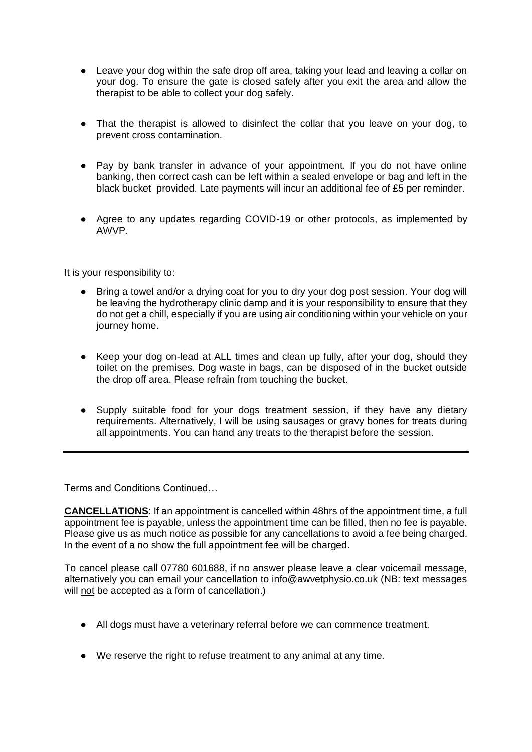- Leave your dog within the safe drop off area, taking your lead and leaving a collar on your dog. To ensure the gate is closed safely after you exit the area and allow the therapist to be able to collect your dog safely.
- That the therapist is allowed to disinfect the collar that you leave on your dog, to prevent cross contamination.
- Pay by bank transfer in advance of your appointment. If you do not have online banking, then correct cash can be left within a sealed envelope or bag and left in the black bucket provided. Late payments will incur an additional fee of £5 per reminder.
- Agree to any updates regarding COVID-19 or other protocols, as implemented by AWVP.

It is your responsibility to:

- Bring a towel and/or a drying coat for you to dry your dog post session. Your dog will be leaving the hydrotherapy clinic damp and it is your responsibility to ensure that they do not get a chill, especially if you are using air conditioning within your vehicle on your journey home.
- Keep your dog on-lead at ALL times and clean up fully, after your dog, should they toilet on the premises. Dog waste in bags, can be disposed of in the bucket outside the drop off area. Please refrain from touching the bucket.
- Supply suitable food for your dogs treatment session, if they have any dietary requirements. Alternatively, I will be using sausages or gravy bones for treats during all appointments. You can hand any treats to the therapist before the session.

Terms and Conditions Continued…

**CANCELLATIONS**: If an appointment is cancelled within 48hrs of the appointment time, a full appointment fee is payable, unless the appointment time can be filled, then no fee is payable. Please give us as much notice as possible for any cancellations to avoid a fee being charged. In the event of a no show the full appointment fee will be charged.

To cancel please call 07780 601688, if no answer please leave a clear voicemail message, alternatively you can email your cancellation to info@awvetphysio.co.uk (NB: text messages will not be accepted as a form of cancellation.)

- All dogs must have a veterinary referral before we can commence treatment.
- We reserve the right to refuse treatment to any animal at any time.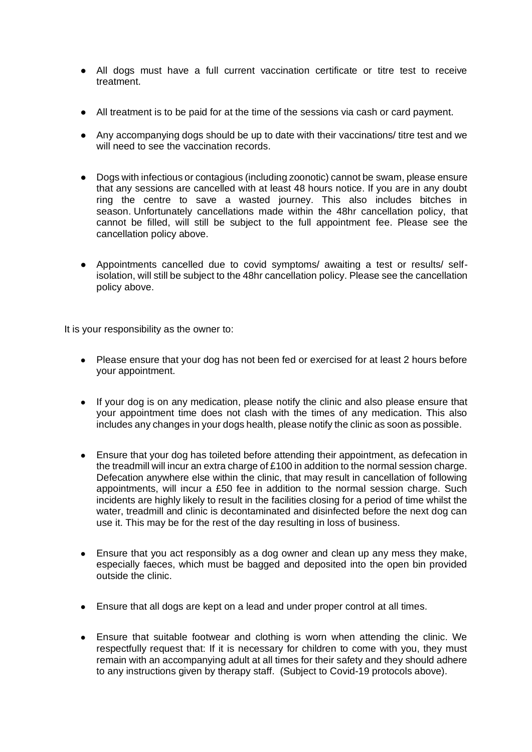- All dogs must have a full current vaccination certificate or titre test to receive treatment.
- All treatment is to be paid for at the time of the sessions via cash or card payment.
- Any accompanying dogs should be up to date with their vaccinations/ titre test and we will need to see the vaccination records.
- Dogs with infectious or contagious (including zoonotic) cannot be swam, please ensure that any sessions are cancelled with at least 48 hours notice. If you are in any doubt ring the centre to save a wasted journey. This also includes bitches in season. Unfortunately cancellations made within the 48hr cancellation policy, that cannot be filled, will still be subject to the full appointment fee. Please see the cancellation policy above.
- Appointments cancelled due to covid symptoms/ awaiting a test or results/ selfisolation, will still be subject to the 48hr cancellation policy. Please see the cancellation policy above.

It is your responsibility as the owner to:

- Please ensure that your dog has not been fed or exercised for at least 2 hours before your appointment.
- If your dog is on any medication, please notify the clinic and also please ensure that your appointment time does not clash with the times of any medication. This also includes any changes in your dogs health, please notify the clinic as soon as possible.
- Ensure that your dog has toileted before attending their appointment, as defecation in the treadmill will incur an extra charge of £100 in addition to the normal session charge. Defecation anywhere else within the clinic, that may result in cancellation of following appointments, will incur a £50 fee in addition to the normal session charge. Such incidents are highly likely to result in the facilities closing for a period of time whilst the water, treadmill and clinic is decontaminated and disinfected before the next dog can use it. This may be for the rest of the day resulting in loss of business.
- Ensure that you act responsibly as a dog owner and clean up any mess they make, especially faeces, which must be bagged and deposited into the open bin provided outside the clinic.
- Ensure that all dogs are kept on a lead and under proper control at all times.
- Ensure that suitable footwear and clothing is worn when attending the clinic. We respectfully request that: If it is necessary for children to come with you, they must remain with an accompanying adult at all times for their safety and they should adhere to any instructions given by therapy staff. (Subject to Covid-19 protocols above).